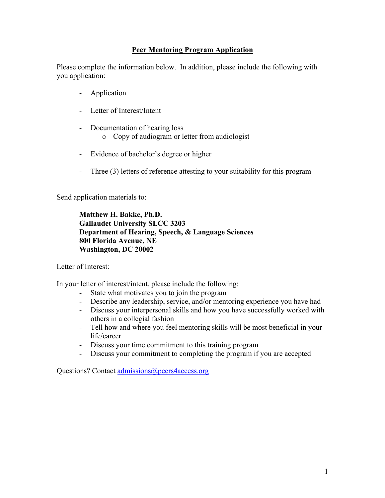#### **Peer Mentoring Program Application**

Please complete the information below. In addition, please include the following with you application:

- Application
- Letter of Interest/Intent
- Documentation of hearing loss
	- o Copy of audiogram or letter from audiologist
- Evidence of bachelor's degree or higher
- Three (3) letters of reference attesting to your suitability for this program

Send application materials to:

**Matthew H. Bakke, Ph.D. Gallaudet University SLCC 3203 Department of Hearing, Speech, & Language Sciences 800 Florida Avenue, NE Washington, DC 20002**

Letter of Interest:

In your letter of interest/intent, please include the following:

- State what motivates you to join the program
- Describe any leadership, service, and/or mentoring experience you have had
- Discuss your interpersonal skills and how you have successfully worked with others in a collegial fashion
- Tell how and where you feel mentoring skills will be most beneficial in your life/career
- Discuss your time commitment to this training program
- Discuss your commitment to completing the program if you are accepted

Questions? Contact admissions@peers4access.org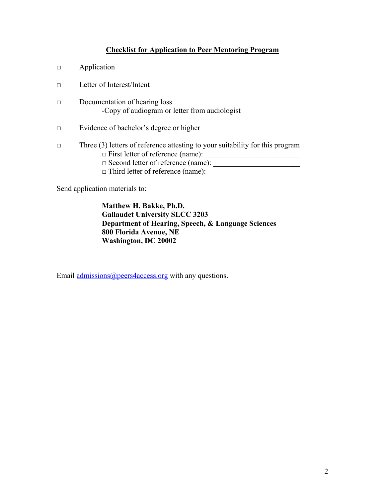#### **Checklist for Application to Peer Mentoring Program**

- □ Application
- □ Letter of Interest/Intent
- □ Documentation of hearing loss -Copy of audiogram or letter from audiologist
- □ Evidence of bachelor's degree or higher
- □ Three (3) letters of reference attesting to your suitability for this program  $\Box$  First letter of reference (name):  $\Box$ □ Second letter of reference (name): \_\_\_\_\_\_\_\_\_\_\_\_\_\_\_\_\_\_\_\_\_\_\_  $\Box$  Third letter of reference (name):
	-

Send application materials to:

**Matthew H. Bakke, Ph.D. Gallaudet University SLCC 3203 Department of Hearing, Speech, & Language Sciences 800 Florida Avenue, NE Washington, DC 20002**

Email admissions@peers4access.org with any questions.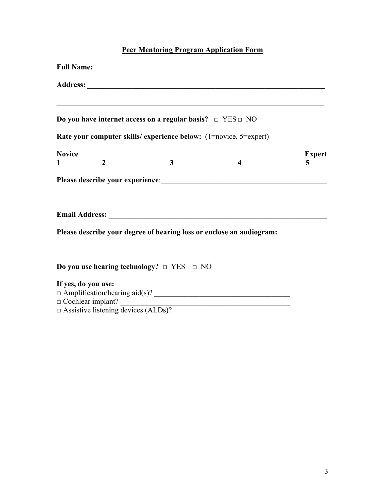# **Peer Mentoring Program Application Form**

| Do you have internet access on a regular basis? $\Box$ YES $\Box$ NO |  | <u> 1989 - Johann John Harry Harry Harry Harry Harry Harry Harry Harry Harry Harry Harry Harry Harry Harry Harry</u> |                          |
|----------------------------------------------------------------------|--|----------------------------------------------------------------------------------------------------------------------|--------------------------|
|                                                                      |  | Rate your computer skills/ experience below: (1=novice, 5=expert)                                                    |                          |
|                                                                      |  | Novice $\frac{1}{1}$ $\frac{2}{3}$ $\frac{4}{4}$                                                                     | Expert<br>$\overline{5}$ |
|                                                                      |  |                                                                                                                      |                          |
|                                                                      |  |                                                                                                                      |                          |
|                                                                      |  | Please describe your degree of hearing loss or enclose an audiogram:                                                 |                          |
| Do you use hearing technology? $\Box$ YES $\Box$ NO                  |  |                                                                                                                      |                          |
| If yes, do you use:                                                  |  | $\Box$ Cochlear implant? $\Box$                                                                                      |                          |